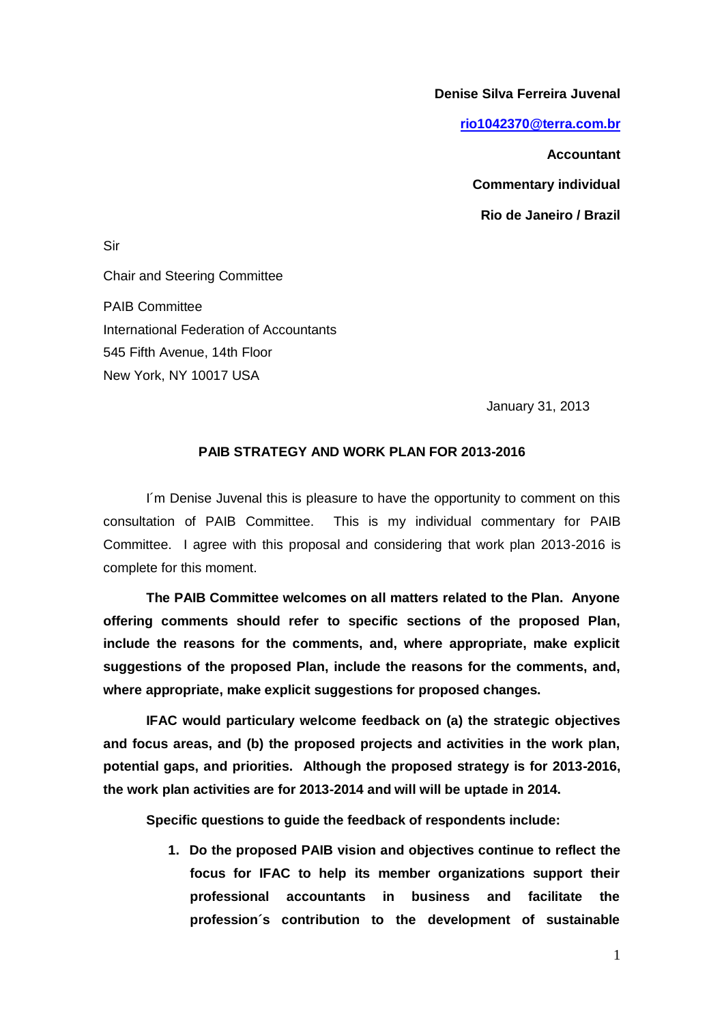**Denise Silva Ferreira Juvenal**

**[rio1042370@terra.com.br](mailto:rio1042370@terra.com.br)**

**Accountant** 

**Commentary individual**

**Rio de Janeiro / Brazil**

Sir

Chair and Steering Committee PAIB Committee International Federation of Accountants 545 Fifth Avenue, 14th Floor New York, NY 10017 USA

January 31, 2013

## **PAIB STRATEGY AND WORK PLAN FOR 2013-2016**

I´m Denise Juvenal this is pleasure to have the opportunity to comment on this consultation of PAIB Committee. This is my individual commentary for PAIB Committee. I agree with this proposal and considering that work plan 2013-2016 is complete for this moment.

**The PAIB Committee welcomes on all matters related to the Plan. Anyone offering comments should refer to specific sections of the proposed Plan, include the reasons for the comments, and, where appropriate, make explicit suggestions of the proposed Plan, include the reasons for the comments, and, where appropriate, make explicit suggestions for proposed changes.**

**IFAC would particulary welcome feedback on (a) the strategic objectives and focus areas, and (b) the proposed projects and activities in the work plan, potential gaps, and priorities. Although the proposed strategy is for 2013-2016, the work plan activities are for 2013-2014 and will will be uptade in 2014.**

**Specific questions to guide the feedback of respondents include:**

**1. Do the proposed PAIB vision and objectives continue to reflect the focus for IFAC to help its member organizations support their professional accountants in business and facilitate the profession´s contribution to the development of sustainable**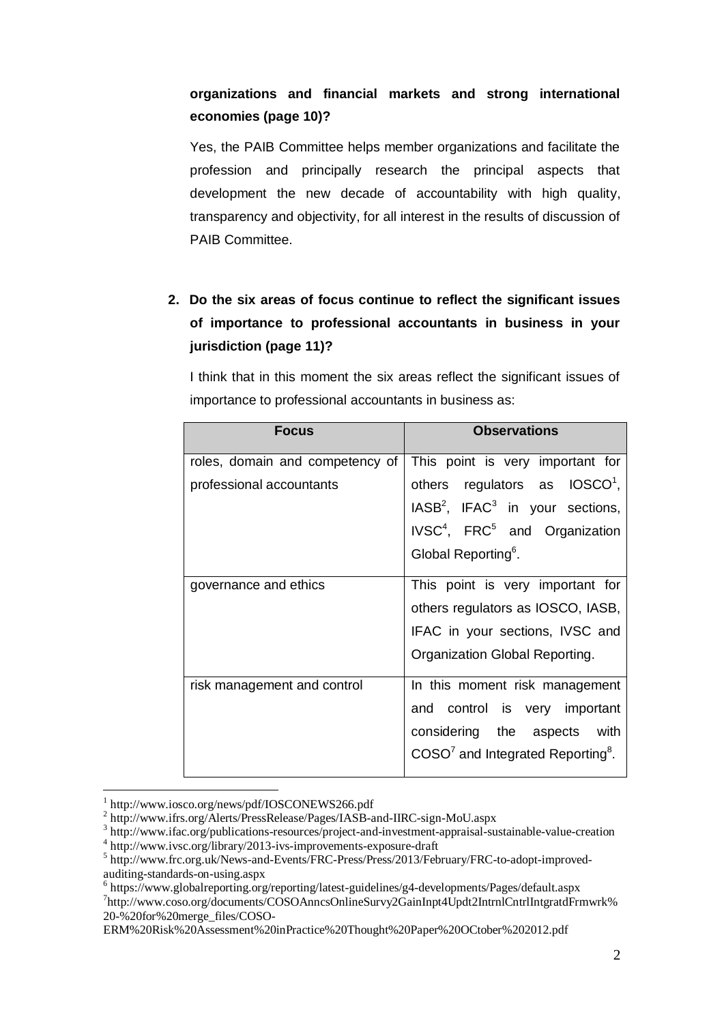## **organizations and financial markets and strong international economies (page 10)?**

Yes, the PAIB Committee helps member organizations and facilitate the profession and principally research the principal aspects that development the new decade of accountability with high quality, transparency and objectivity, for all interest in the results of discussion of PAIB Committee.

## **2. Do the six areas of focus continue to reflect the significant issues of importance to professional accountants in business in your jurisdiction (page 11)?**

I think that in this moment the six areas reflect the significant issues of importance to professional accountants in business as:

| <b>Focus</b>                    | <b>Observations</b>                                   |
|---------------------------------|-------------------------------------------------------|
| roles, domain and competency of | This point is very important for                      |
| professional accountants        | others regulators as IOSCO <sup>1</sup> ,             |
|                                 | $IASB2$ , IFAC <sup>3</sup> in your sections,         |
|                                 | IVSC <sup>4</sup> , FRC <sup>5</sup> and Organization |
|                                 | Global Reporting <sup>6</sup> .                       |
| governance and ethics           | This point is very important for                      |
|                                 | others regulators as IOSCO, IASB,                     |
|                                 | IFAC in your sections, IVSC and                       |
|                                 | Organization Global Reporting.                        |
| risk management and control     | In this moment risk management                        |
|                                 | and control is very important                         |
|                                 | considering the aspects with                          |
|                                 | $COSO7$ and Integrated Reporting <sup>8</sup> .       |

<sup>1</sup> http://www.iosco.org/news/pdf/IOSCONEWS266.pdf

 $\overline{a}$ 

<sup>2</sup> http://www.ifrs.org/Alerts/PressRelease/Pages/IASB-and-IIRC-sign-MoU.aspx

<sup>&</sup>lt;sup>3</sup> http://www.ifac.org/publications-resources/project-and-investment-appraisal-sustainable-value-creation

<sup>4</sup> http://www.ivsc.org/library/2013-ivs-improvements-exposure-draft

<sup>5</sup> http://www.frc.org.uk/News-and-Events/FRC-Press/Press/2013/February/FRC-to-adopt-improvedauditing-standards-on-using.aspx

<sup>6</sup> https://www.globalreporting.org/reporting/latest-guidelines/g4-developments/Pages/default.aspx

<sup>7</sup> http://www.coso.org/documents/COSOAnncsOnlineSurvy2GainInpt4Updt2IntrnlCntrlIntgratdFrmwrk% 20-%20for%20merge\_files/COSO-

ERM%20Risk%20Assessment%20inPractice%20Thought%20Paper%20OCtober%202012.pdf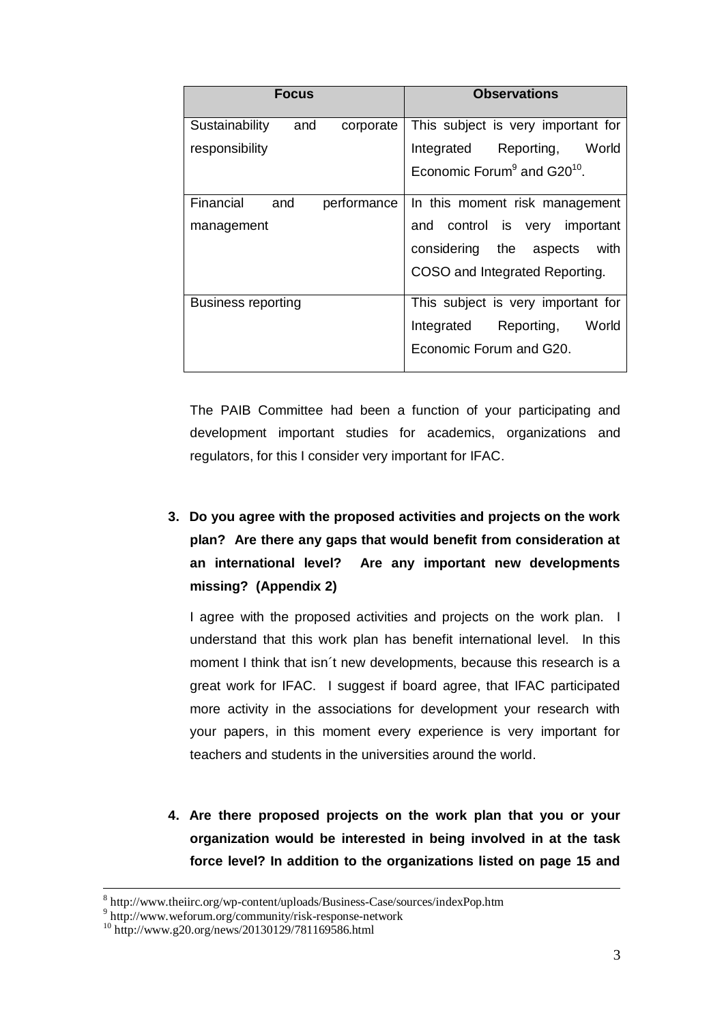| <b>Focus</b>                       | <b>Observations</b>                        |
|------------------------------------|--------------------------------------------|
| Sustainability<br>and<br>corporate | This subject is very important for         |
| responsibility                     | Integrated Reporting,<br>World             |
|                                    | Economic Forum $9$ and G20 <sup>10</sup> . |
| Financial<br>performance<br>and    | In this moment risk management             |
| management                         | and control is very important              |
|                                    | considering the aspects<br>with            |
|                                    | COSO and Integrated Reporting.             |
| <b>Business reporting</b>          | This subject is very important for         |
|                                    | World<br>Integrated<br>Reporting,          |
|                                    | Economic Forum and G20.                    |

The PAIB Committee had been a function of your participating and development important studies for academics, organizations and regulators, for this I consider very important for IFAC.

**3. Do you agree with the proposed activities and projects on the work plan? Are there any gaps that would benefit from consideration at an international level? Are any important new developments missing? (Appendix 2)**

I agree with the proposed activities and projects on the work plan. I understand that this work plan has benefit international level. In this moment I think that isn´t new developments, because this research is a great work for IFAC. I suggest if board agree, that IFAC participated more activity in the associations for development your research with your papers, in this moment every experience is very important for teachers and students in the universities around the world.

**4. Are there proposed projects on the work plan that you or your organization would be interested in being involved in at the task force level? In addition to the organizations listed on page 15 and** 

 $\overline{a}$ 

<sup>8</sup> http://www.theiirc.org/wp-content/uploads/Business-Case/sources/indexPop.htm

<sup>&</sup>lt;sup>9</sup> http://www.weforum.org/community/risk-response-network

 $^{10}$  http://www.g20.org/news/20130129/781169586.html